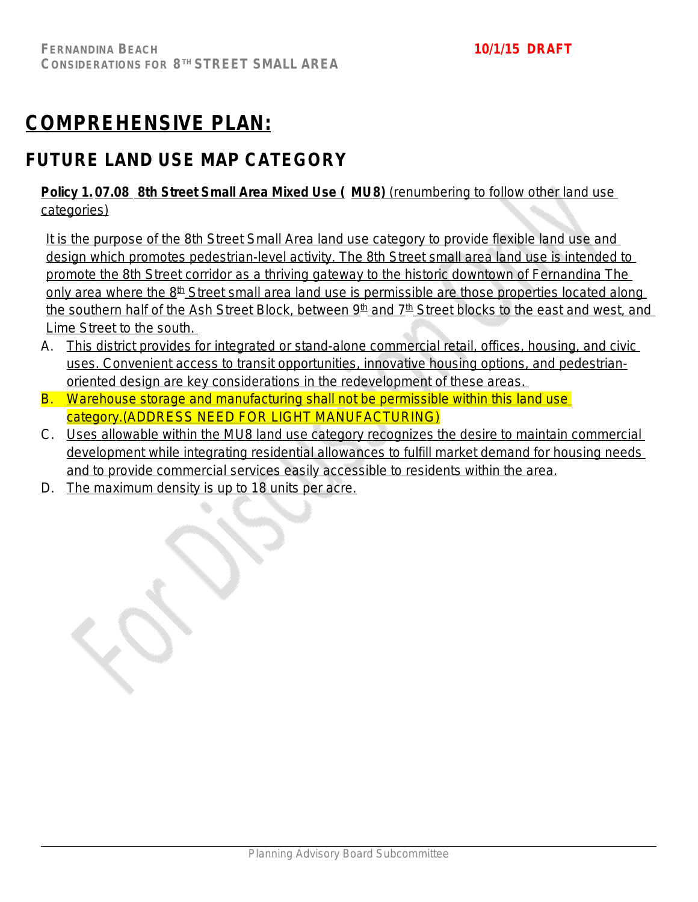# **COMPREHENSIVE PLAN:**

# **FUTURE LAND USE MAP CATEGORY**

## **Policy 1. 07.08 8th Street Small Area Mixed Use ( MU8)** (renumbering to follow other land use categories)

It is the purpose of the 8th Street Small Area land use category to provide flexible land use and design which promotes pedestrian-level activity. The 8th Street small area land use is intended to promote the 8th Street corridor as a thriving gateway to the historic downtown of Fernandina The only area where the  $8<sup>th</sup>$  Street small area land use is permissible are those properties located along the southern half of the Ash Street Block, between 9<sup>th</sup> and 7<sup>th</sup> Street blocks to the east and west, and Lime Street to the south.

- A. This district provides for integrated or stand-alone commercial retail, offices, housing, and civic uses. Convenient access to transit opportunities, innovative housing options, and pedestrianoriented design are key considerations in the redevelopment of these areas.
- B. Warehouse storage and manufacturing shall not be permissible within this land use category.(ADDRESS NEED FOR LIGHT MANUFACTURING)
- C. Uses allowable within the MU8 land use category recognizes the desire to maintain commercial development while integrating residential allowances to fulfill market demand for housing needs and to provide commercial services easily accessible to residents within the area.
- D. The maximum density is up to 18 units per acre.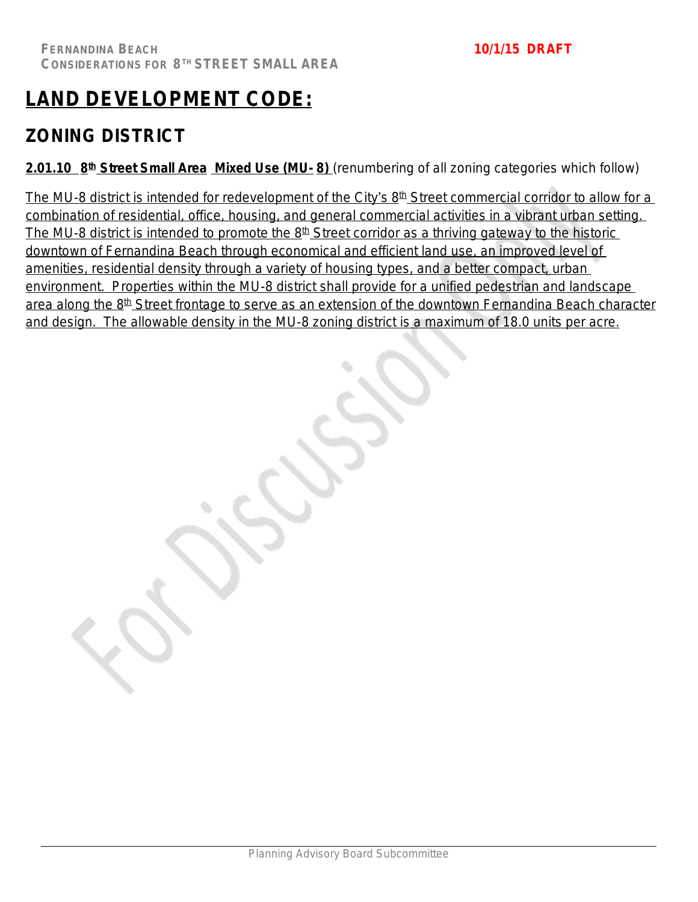# **LAND DEVELOPMENT CODE:**

# **ZONING DISTRICT**

**2.01.10 8 th Street Small Area Mixed Use (MU- 8)** *(renumbering of all zoning categories which follow)*

The MU-8 district is intended for redevelopment of the City's 8<sup>th</sup> Street commercial corridor to allow for a combination of residential, office, housing, and general commercial activities in a vibrant urban setting. The MU-8 district is intended to promote the  $8<sup>th</sup>$  Street corridor as a thriving gateway to the historic downtown of Fernandina Beach through economical and efficient land use, an improved level of amenities, residential density through a variety of housing types, and a better compact, urban environment. Properties within the MU-8 district shall provide for a unified pedestrian and landscape area along the 8<sup>th</sup> Street frontage to serve as an extension of the downtown Fernandina Beach character and design. The allowable density in the MU-8 zoning district is a maximum of 18.0 units per acre.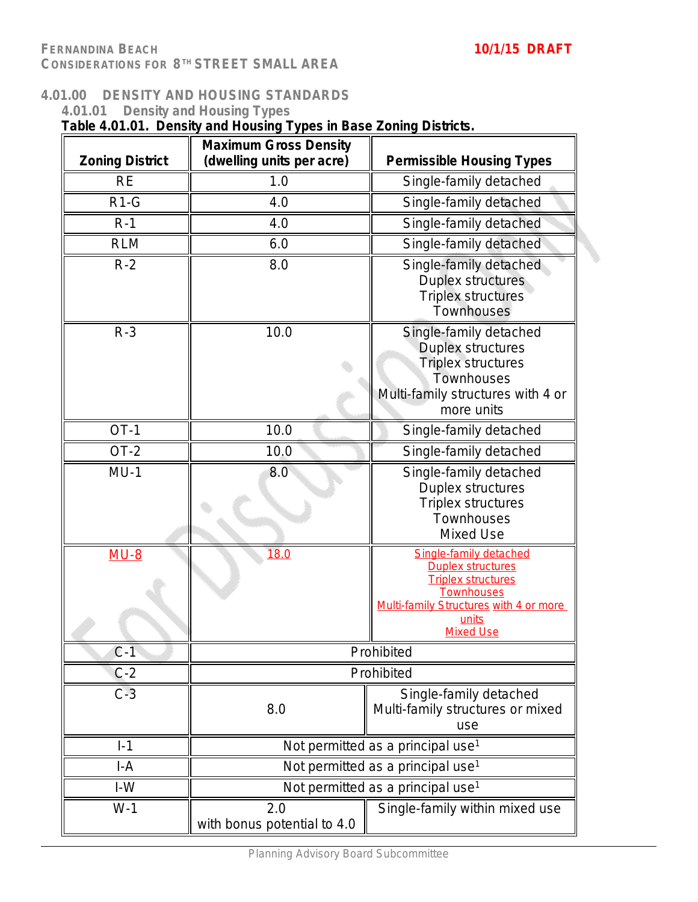### **4.01.00 DENSITY AND HOUSING STANDARDS**

| 4.01.01                | <b>Density and Housing Types</b><br>Table 4.01.01. Density and Housing Types in Base Zoning Districts. |                                                                                                                                                                      |
|------------------------|--------------------------------------------------------------------------------------------------------|----------------------------------------------------------------------------------------------------------------------------------------------------------------------|
| <b>Zoning District</b> | <b>Maximum Gross Density</b><br>(dwelling units per acre)                                              | <b>Permissible Housing Types</b>                                                                                                                                     |
| <b>RE</b>              | 1.0                                                                                                    | Single-family detached                                                                                                                                               |
| $R1-G$                 | 4.0                                                                                                    | Single-family detached                                                                                                                                               |
| $R-1$                  | 4.0                                                                                                    | Single-family detached                                                                                                                                               |
| <b>RLM</b>             | 6.0                                                                                                    | Single-family detached                                                                                                                                               |
| $R-2$                  | 8.0                                                                                                    | Single-family detached<br>Duplex structures<br>Triplex structures<br>Townhouses                                                                                      |
| $R-3$                  | 10.0                                                                                                   | Single-family detached<br><b>Duplex structures</b><br><b>Triplex structures</b><br>Townhouses<br>Multi-family structures with 4 or<br>more units                     |
| $OT-1$                 | 10.0                                                                                                   | Single-family detached                                                                                                                                               |
| $OT-2$                 | 10.0                                                                                                   | Single-family detached                                                                                                                                               |
| $MU-1$                 | 8.0                                                                                                    | Single-family detached<br>Duplex structures<br>Triplex structures<br>Townhouses<br>Mixed Use                                                                         |
| $MU-8$                 | 18.0                                                                                                   | Single-family detached<br><b>Duplex structures</b><br><b>Triplex structures</b><br>Townhouses<br>Multi-family Structures with 4 or more<br>units<br><b>Mixed Use</b> |
| $C-1$                  |                                                                                                        | Prohibited                                                                                                                                                           |
| $C-2$                  |                                                                                                        | Prohibited                                                                                                                                                           |
| $C-3$                  | 8.0                                                                                                    | Single-family detached<br>Multi-family structures or mixed<br>use                                                                                                    |
| $I-1$                  |                                                                                                        | Not permitted as a principal use <sup>1</sup>                                                                                                                        |
| $I-A$                  |                                                                                                        | Not permitted as a principal use <sup>1</sup>                                                                                                                        |
| $I-W$                  |                                                                                                        | Not permitted as a principal use <sup>1</sup>                                                                                                                        |
| $W-1$                  | 2.0<br>with bonus potential to 4.0                                                                     | Single-family within mixed use                                                                                                                                       |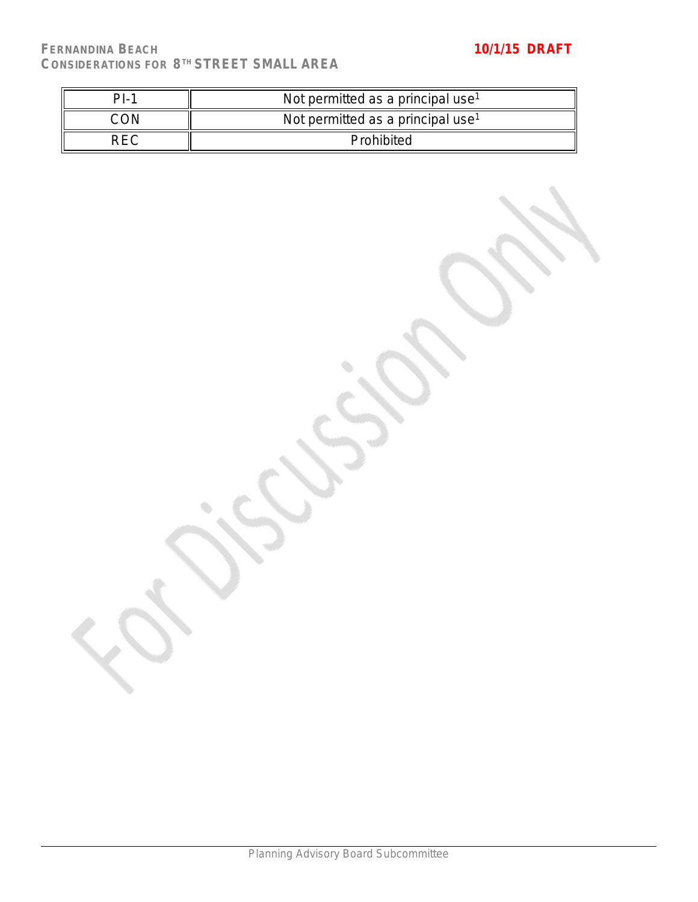| $PI-$ | Not permitted as a principal use <sup>1</sup> |
|-------|-----------------------------------------------|
|       | Not permitted as a principal use <sup>1</sup> |
| REC   | Prohibited                                    |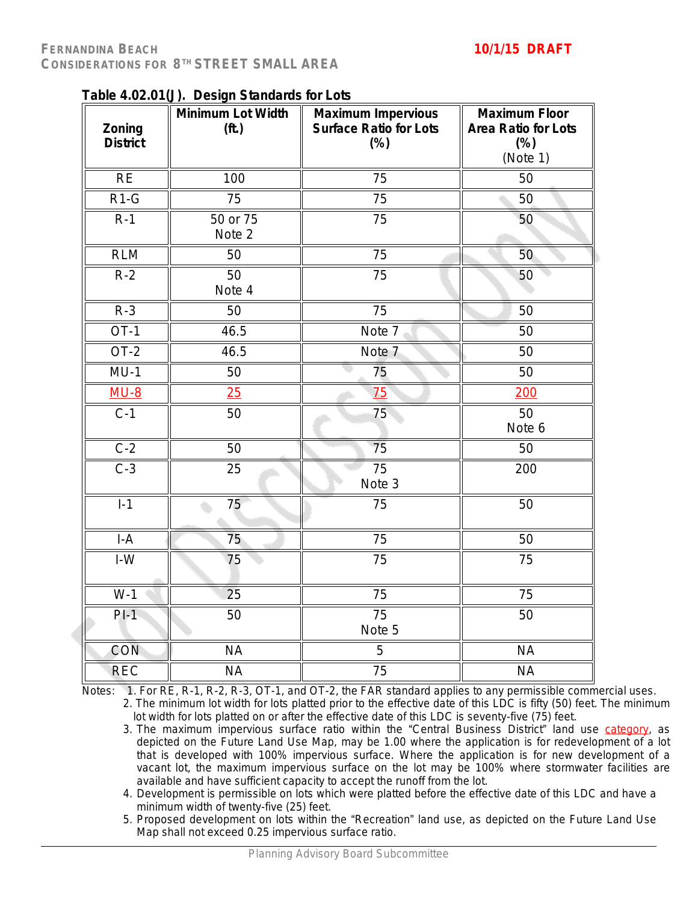| Zoning          | rable 4.02.01(J). Design Jianuarus for Lots<br>Minimum Lot Width<br>(ft.) | <b>Maximum Impervious</b><br><b>Surface Ratio for Lots</b> | <b>Maximum Floor</b><br><b>Area Ratio for Lots</b> |
|-----------------|---------------------------------------------------------------------------|------------------------------------------------------------|----------------------------------------------------|
| <b>District</b> |                                                                           | $(\%)$                                                     | $(\%)$<br>(Note 1)                                 |
| <b>RE</b>       | 100                                                                       | 75                                                         | 50                                                 |
| $R1-G$          | 75                                                                        | 75                                                         | 50                                                 |
| $R-1$           | 50 or 75<br>Note 2                                                        | 75                                                         | 50                                                 |
| <b>RLM</b>      | 50                                                                        | 75                                                         | 50                                                 |
| $R-2$           | 50<br>Note 4                                                              | 75                                                         | 50                                                 |
| $R-3$           | 50                                                                        | 75                                                         | 50                                                 |
| $OT-1$          | 46.5                                                                      | Note 7                                                     | 50                                                 |
| $OT-2$          | 46.5                                                                      | Note 7                                                     | 50                                                 |
| $MU-1$          | 50                                                                        | 75                                                         | 50                                                 |
| $MU-8$          | 25                                                                        | 75                                                         | 200                                                |
| $C-1$           | 50                                                                        | 75                                                         | 50<br>Note 6                                       |
| $C-2$           | 50                                                                        | 75                                                         | 50                                                 |
| $C-3$           | 25                                                                        | $\overline{75}$<br>Note 3                                  | 200                                                |
| $1-1$           | 75                                                                        | 75                                                         | 50                                                 |
| $I-A$           | $\overline{75}$                                                           | 75                                                         | 50                                                 |
| $I-W$           | 75                                                                        | 75                                                         | 75                                                 |
| $W-1$           | $\overline{25}$                                                           | $\overline{75}$                                            | $\overline{75}$                                    |
| $PI-1$          | 50                                                                        | $\overline{75}$<br>Note 5                                  | 50                                                 |
| <b>CON</b>      | <b>NA</b>                                                                 | $\overline{5}$                                             | <b>NA</b>                                          |
| <b>REC</b>      | <b>NA</b>                                                                 | $\overline{75}$                                            | <b>NA</b>                                          |

**Table 4.02.01(J). Design Standards for Lots**

Notes: 1. For RE, R-1, R-2, R-3, OT-1, and OT-2, the FAR standard applies to any permissible commercial uses.

2. The minimum lot width for lots platted prior to the effective date of this LDC is fifty (50) feet. The minimum lot width for lots platted on or after the effective date of this LDC is seventy-five (75) feet.

- 3. The maximum impervious surface ratio within the "Central Business District" land use category, as depicted on the Future Land Use Map, may be 1.00 where the application is for redevelopment of a lot that is developed with 100% impervious surface. Where the application is for new development of a vacant lot, the maximum impervious surface on the lot may be 100% where stormwater facilities are available and have sufficient capacity to accept the runoff from the lot.
- 4. Development is permissible on lots which were platted before the effective date of this LDC and have a minimum width of twenty-five (25) feet.
- 5. Proposed development on lots within the "Recreation" land use, as depicted on the Future Land Use Map shall not exceed 0.25 impervious surface ratio.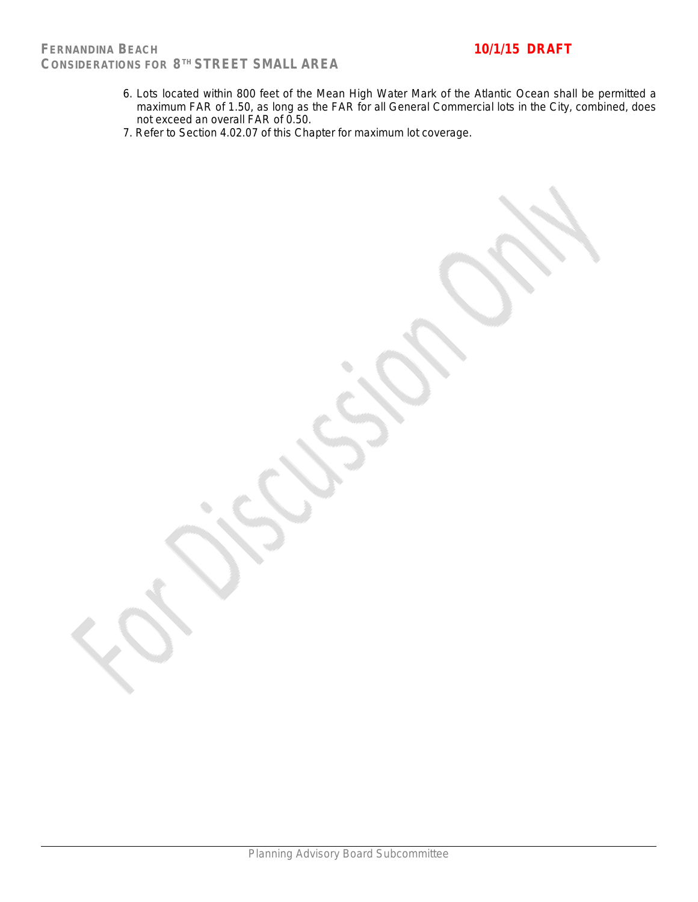- 6. Lots located within 800 feet of the Mean High Water Mark of the Atlantic Ocean shall be permitted a maximum FAR of 1.50, as long as the FAR for all General Commercial lots in the City, combined, does not exceed an overall FAR of 0.50.
- 7. Refer to Section 4.02.07 of this Chapter for maximum lot coverage.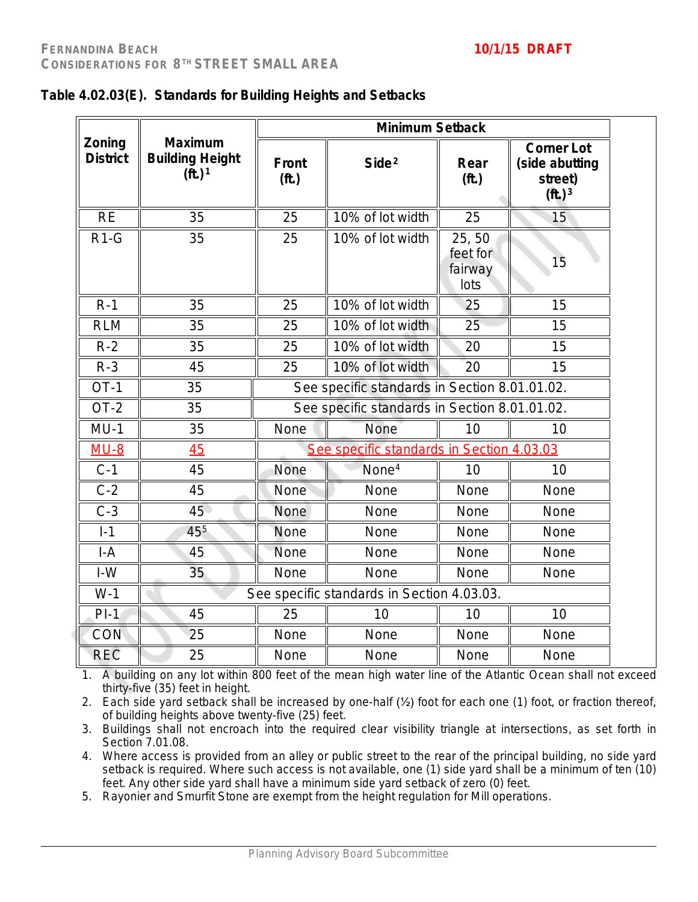|                           |                                                                |                                | <b>Minimum Setback</b>                        |                                      |                                                                               |
|---------------------------|----------------------------------------------------------------|--------------------------------|-----------------------------------------------|--------------------------------------|-------------------------------------------------------------------------------|
| Zoning<br><b>District</b> | <b>Maximum</b><br><b>Building Height</b><br>(ft.) <sup>1</sup> | <b>Front</b><br>( <b>ft</b> .) | Side <sup>2</sup>                             | Rear<br>(f <sub>t</sub> )            | <b>Corner Lot</b><br>(side abutting<br>street)<br>( <b>ft</b> .) <sup>3</sup> |
| <b>RE</b>                 | 35                                                             | 25                             | 10% of lot width                              | 25                                   | 15                                                                            |
| $R1-G$                    | 35                                                             | 25                             | 10% of lot width                              | 25,50<br>feet for<br>fairway<br>lots | 15                                                                            |
| $R-1$                     | 35                                                             | 25                             | 10% of lot width                              | 25                                   | 15                                                                            |
| <b>RLM</b>                | 35                                                             | 25                             | 10% of lot width                              | 25                                   | 15                                                                            |
| $R-2$                     | 35                                                             | 25                             | 10% of lot width                              | 20                                   | 15                                                                            |
| $R-3$                     | 45                                                             | 25                             | 10% of lot width                              | 20                                   | 15                                                                            |
| $OT-1$                    | 35                                                             |                                | See specific standards in Section 8.01.01.02. |                                      |                                                                               |
| $OT-2$                    | 35                                                             |                                | See specific standards in Section 8.01.01.02. |                                      |                                                                               |
| $MU-1$                    | 35                                                             | None                           | <b>None</b>                                   | 10                                   | 10                                                                            |
| $MU-8$                    | 45                                                             |                                | See specific standards in Section 4.03.03     |                                      |                                                                               |
| $C-1$                     | 45                                                             | None                           | None <sup>4</sup>                             | 10                                   | 10                                                                            |
| $C-2$                     | 45                                                             | None                           | None                                          | None                                 | None                                                                          |
| $C-3$                     | 45                                                             | None                           | None                                          | None                                 | None                                                                          |
| $I-1$                     | 455                                                            | None                           | None                                          | None                                 | None                                                                          |
| $I-A$                     | 45                                                             | None                           | None                                          | None                                 | None                                                                          |
| $I-W$                     | 35                                                             | None                           | None                                          | None                                 | None                                                                          |
| $W-1$                     |                                                                |                                | See specific standards in Section 4.03.03.    |                                      |                                                                               |
| $PI-1$                    | 45                                                             | 25                             | 10                                            | 10                                   | 10                                                                            |
| CON                       | 25                                                             | None                           | None                                          | None                                 | None                                                                          |
|                           |                                                                |                                |                                               |                                      |                                                                               |

|  | Table 4.02.03(E). Standards for Building Heights and Setbacks |
|--|---------------------------------------------------------------|
|--|---------------------------------------------------------------|

1. A building on any lot within 800 feet of the mean high water line of the Atlantic Ocean shall not exceed thirty-five (35) feet in height.

REC 25 || None || None || None || None

2. Each side yard setback shall be increased by one-half (½) foot for each one (1) foot, or fraction thereof, of building heights above twenty-five (25) feet.

3. Buildings shall not encroach into the required clear visibility triangle at intersections, as set forth in Section 7.01.08.

4. Where access is provided from an alley or public street to the rear of the principal building, no side yard setback is required. Where such access is not available, one (1) side yard shall be a minimum of ten (10) feet. Any other side yard shall have a minimum side yard setback of zero (0) feet.

5. Rayonier and Smurfit Stone are exempt from the height regulation for Mill operations.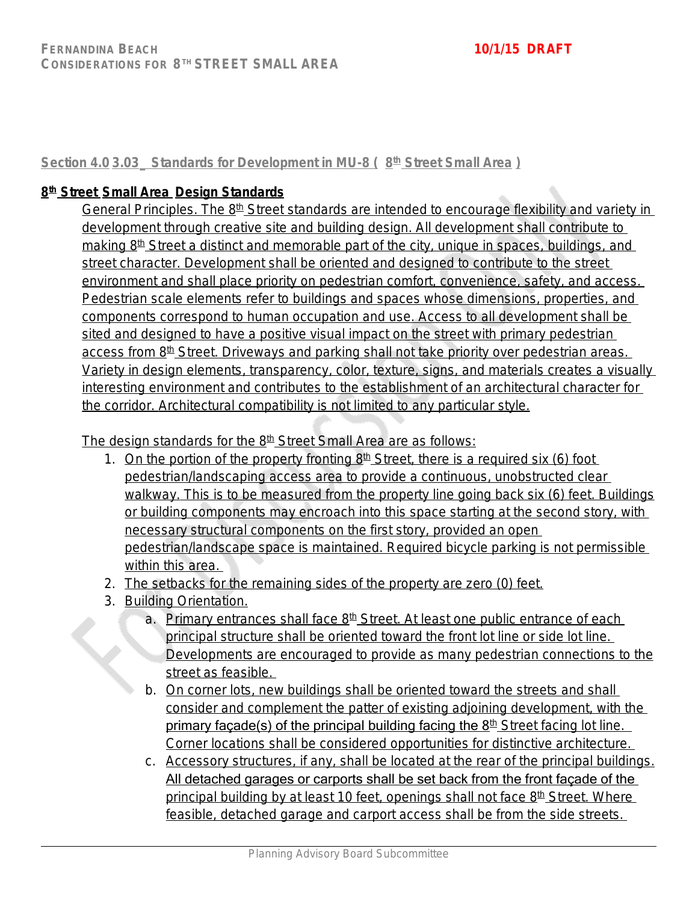**Section 4.0 3.03\_ Standards for Development in MU-8 ( 8 th Street Small Area )**

## **8 th Street Small Area Design Standards**

General Principles. The 8<sup>th</sup> Street standards are intended to encourage flexibility and variety in development through creative site and building design. All development shall contribute to making 8<sup>th</sup> Street a distinct and memorable part of the city, unique in spaces, buildings, and street character. Development shall be oriented and designed to contribute to the street environment and shall place priority on pedestrian comfort, convenience, safety, and access. Pedestrian scale elements refer to buildings and spaces whose dimensions, properties, and components correspond to human occupation and use. Access to all development shall be sited and designed to have a positive visual impact on the street with primary pedestrian access from 8<sup>th</sup> Street. Driveways and parking shall not take priority over pedestrian areas. Variety in design elements, transparency, color, texture, signs, and materials creates a visually interesting environment and contributes to the establishment of an architectural character for the corridor. Architectural compatibility is not limited to any particular style.

The design standards for the 8<sup>th</sup> Street Small Area are as follows:

- 1. On the portion of the property fronting  $8<sup>th</sup>$  Street, there is a required six (6) foot pedestrian/landscaping access area to provide a continuous, unobstructed clear walkway. This is to be measured from the property line going back six (6) feet. Buildings or building components may encroach into this space starting at the second story, with necessary structural components on the first story, provided an open pedestrian/landscape space is maintained. Required bicycle parking is not permissible within this area.
- 2. The setbacks for the remaining sides of the property are zero (0) feet.
- 3. Building Orientation.
	- a. Primary entrances shall face 8<sup>th</sup> Street. At least one public entrance of each principal structure shall be oriented toward the front lot line or side lot line. Developments are encouraged to provide as many pedestrian connections to the street as feasible.
	- b. On corner lots, new buildings shall be oriented toward the streets and shall consider and complement the patter of existing adjoining development, with the primary façade(s) of the principal building facing the  $8<sup>th</sup>$  Street facing lot line. Corner locations shall be considered opportunities for distinctive architecture.
	- c. Accessory structures, if any, shall be located at the rear of the principal buildings. All detached garages or carports shall be set back from the front façade of the principal building by at least 10 feet, openings shall not face  $8<sup>th</sup>$  Street. Where feasible, detached garage and carport access shall be from the side streets.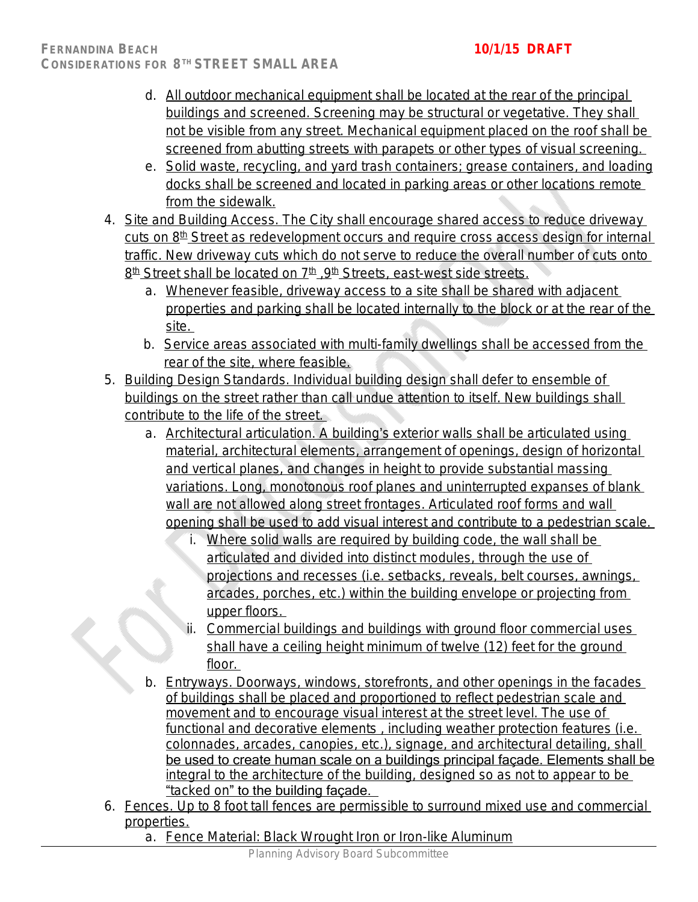- d. All outdoor mechanical equipment shall be located at the rear of the principal buildings and screened. Screening may be structural or vegetative. They shall not be visible from any street. Mechanical equipment placed on the roof shall be screened from abutting streets with parapets or other types of visual screening.
- e. Solid waste, recycling, and yard trash containers; grease containers, and loading docks shall be screened and located in parking areas or other locations remote from the sidewalk.
- 4. Site and Building Access. The City shall encourage shared access to reduce driveway cuts on 8<sup>th</sup> Street as redevelopment occurs and require cross access design for internal traffic. New driveway cuts which do not serve to reduce the overall number of cuts onto 8<sup>th</sup> Street shall be located on 7<sup>th</sup> , 9<sup>th</sup> Streets, east-west side streets.
	- a. Whenever feasible, driveway access to a site shall be shared with adjacent properties and parking shall be located internally to the block or at the rear of the site.
	- b. Service areas associated with multi-family dwellings shall be accessed from the rear of the site, where feasible.
- 5. Building Design Standards. Individual building design shall defer to ensemble of buildings on the street rather than call undue attention to itself. New buildings shall contribute to the life of the street.
	- a. Architectural articulation. A building's exterior walls shall be articulated using material, architectural elements, arrangement of openings, design of horizontal and vertical planes, and changes in height to provide substantial massing variations. Long, monotonous roof planes and uninterrupted expanses of blank wall are not allowed along street frontages. Articulated roof forms and wall opening shall be used to add visual interest and contribute to a pedestrian scale.
		- i. Where solid walls are required by building code, the wall shall be articulated and divided into distinct modules, through the use of projections and recesses (i.e. setbacks, reveals, belt courses, awnings, arcades, porches, etc.) within the building envelope or projecting from upper floors.
		- ii. Commercial buildings and buildings with ground floor commercial uses shall have a ceiling height minimum of twelve (12) feet for the ground floor.
	- b. Entryways. Doorways, windows, storefronts, and other openings in the facades of buildings shall be placed and proportioned to reflect pedestrian scale and movement and to encourage visual interest at the street level. The use of functional and decorative elements , including weather protection features (i.e. colonnades, arcades, canopies, etc.), signage, and architectural detailing, shall be used to create human scale on a buildings principal façade. Elements shall be integral to the architecture of the building, designed so as not to appear to be "tacked on" to the building façade.
- 6. Fences. Up to 8 foot tall fences are permissible to surround mixed use and commercial properties.
	- a. Fence Material: Black Wrought Iron or Iron-like Aluminum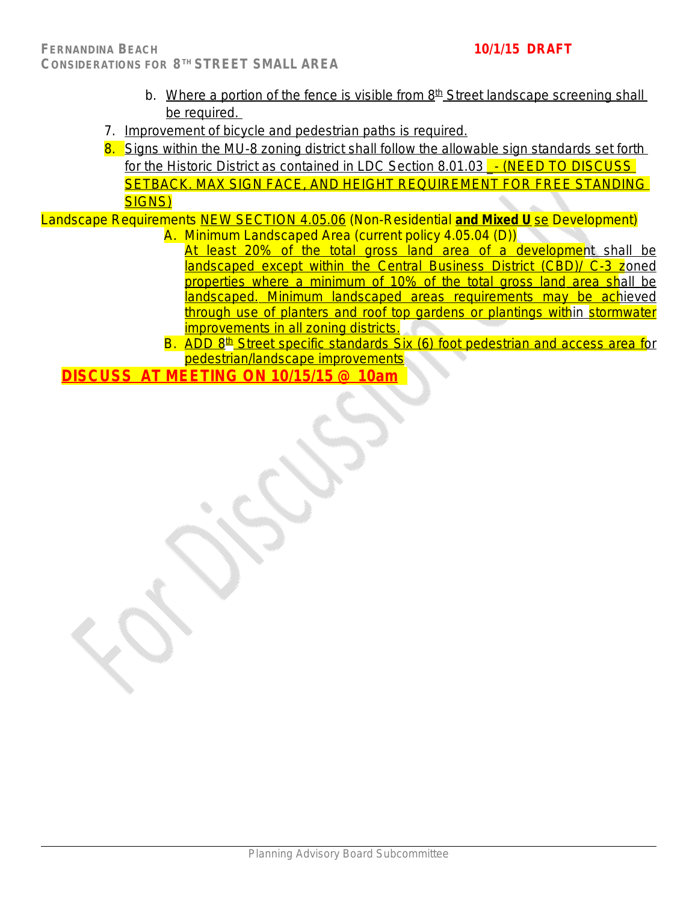- b. Where a portion of the fence is visible from  $8<sup>th</sup>$  Street landscape screening shall be required.
- 7. Improvement of bicycle and pedestrian paths is required.
- 8. Signs within the MU-8 zoning district shall follow the allowable sign standards set forth for the Historic District as contained in LDC Section 8.01.03 - (NEED TO DISCUSS SETBACK. MAX SIGN FACE, AND HEIGHT REQUIREMENT FOR FREE STANDING SIGNS)

Landscape Requirements NEW SECTION 4.05.06 (Non-Residential **and Mixed U** se Development) A. Minimum Landscaped Area (current policy 4.05.04 (D))

- At least 20% of the total gross land area of a development shall be landscaped except within the Central Business District (CBD)/ C-3 zoned properties where a minimum of 10% of the total gross land area shall be landscaped. Minimum landscaped areas requirements may be achieved through use of planters and roof top gardens or plantings within stormwater improvements in all zoning districts.
- B. ADD 8<sup>th</sup> Street specific standards Six (6) foot pedestrian and access area for pedestrian/landscape improvements

**DISCUSS AT MEETING ON 10/15/15 @ 10am**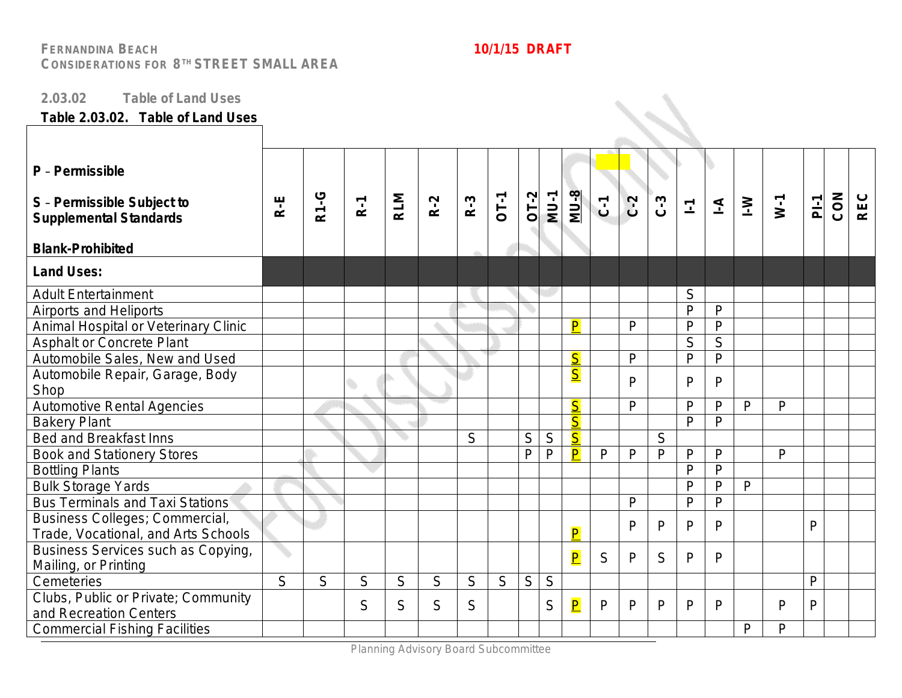### **2.03.02 Table of Land Uses**

### **Table 2.03.02. Table of Land Uses**

| P - Permissible<br>S - Permissible Subject to<br><b>Supplemental Standards</b><br><b>Blank-Prohibited</b> | $R - E$ | <b>R1-G</b> | $R-1$ | <b>RLM</b> | $R-2$ | $R-3$ | <b>OT-1</b> | $OT-2$       | $MJ-1$       | <b>MU-8</b>             | $\overline{c}$ | $C - 2$      | $C - 3$      | $\Sigma$     | $\overline{=}$ | $\geq$       | $W-1$        | $\overline{P}$ | CON | <b>REC</b> |
|-----------------------------------------------------------------------------------------------------------|---------|-------------|-------|------------|-------|-------|-------------|--------------|--------------|-------------------------|----------------|--------------|--------------|--------------|----------------|--------------|--------------|----------------|-----|------------|
|                                                                                                           |         |             |       |            |       |       |             |              |              |                         |                |              |              |              |                |              |              |                |     |            |
| <b>Land Uses:</b>                                                                                         |         |             |       |            |       |       |             |              |              |                         |                |              |              |              |                |              |              |                |     |            |
| <b>Adult Entertainment</b>                                                                                |         |             |       |            |       |       |             |              |              |                         |                |              |              | S            |                |              |              |                |     |            |
| <b>Airports and Heliports</b>                                                                             |         |             |       |            |       |       |             |              |              |                         |                |              |              | $\mathsf{P}$ | P              |              |              |                |     |            |
| Animal Hospital or Veterinary Clinic                                                                      |         |             |       |            |       |       |             |              |              | P                       |                | $\mathsf{P}$ |              | $\mathsf{P}$ | P              |              |              |                |     |            |
| <b>Asphalt or Concrete Plant</b>                                                                          |         |             |       |            |       |       |             |              |              |                         |                |              |              | S            | S              |              |              |                |     |            |
| Automobile Sales, New and Used                                                                            |         |             |       |            |       |       |             |              |              | $\overline{\mathsf{S}}$ |                | P            |              | $\mathsf{P}$ | P              |              |              |                |     |            |
| Automobile Repair, Garage, Body                                                                           |         |             |       |            |       |       |             |              |              | $\overline{\mathsf{S}}$ |                | P            |              | P            | P              |              |              |                |     |            |
| Shop                                                                                                      |         |             |       |            |       |       |             |              |              |                         |                |              |              |              |                |              |              |                |     |            |
| Automotive Rental Agencies                                                                                |         |             |       |            |       |       |             |              |              | $\overline{\mathsf{S}}$ |                | $\mathsf{P}$ |              | $\mathsf{P}$ | P              | $\mathsf{P}$ | $\mathsf{P}$ |                |     |            |
| <b>Bakery Plant</b>                                                                                       |         |             |       |            |       |       |             |              |              | $\overline{\mathsf{S}}$ |                |              |              | P            | $\mathsf{P}$   |              |              |                |     |            |
| <b>Bed and Breakfast Inns</b>                                                                             |         |             |       |            |       | S     |             | S            | $\mathsf S$  | $\overline{\mathsf{S}}$ |                |              | S            |              |                |              |              |                |     |            |
| <b>Book and Stationery Stores</b>                                                                         |         |             |       |            |       |       |             | P            | $\mathsf{P}$ | $\overline{\mathsf{P}}$ | $\mathsf{P}$   | $\mathsf{P}$ | $\mathsf{P}$ | $\mathsf{P}$ | P              |              | P            |                |     |            |
| <b>Bottling Plants</b>                                                                                    |         |             |       |            |       |       |             |              |              |                         |                |              |              | $\mathsf{P}$ | P              |              |              |                |     |            |
| <b>Bulk Storage Yards</b>                                                                                 |         |             |       |            |       |       |             |              |              |                         |                |              |              | $\mathsf{P}$ | P              | $\mathsf{P}$ |              |                |     |            |
| <b>Bus Terminals and Taxi Stations</b>                                                                    |         |             |       |            |       |       |             |              |              |                         |                | P            |              | $\mathsf{P}$ | P              |              |              |                |     |            |
| Business Colleges; Commercial,                                                                            |         |             |       |            |       |       |             |              |              |                         |                | $\mathsf{P}$ | P            | P            | P              |              |              | $\mathsf{P}$   |     |            |
| Trade, Vocational, and Arts Schools                                                                       |         |             |       |            |       |       |             |              |              | P                       |                |              |              |              |                |              |              |                |     |            |
| Business Services such as Copying,                                                                        |         |             |       |            |       |       |             |              |              | $\overline{\mathsf{P}}$ | S              | $\mathsf{P}$ | S            | $\mathsf{P}$ | P              |              |              |                |     |            |
| Mailing, or Printing                                                                                      |         |             |       |            |       |       |             |              |              |                         |                |              |              |              |                |              |              |                |     |            |
| Cemeteries                                                                                                | S       | S           | S     | S          | S     | S     | S           | $\mathsf{S}$ | S            |                         |                |              |              |              |                |              |              | P              |     |            |
| Clubs, Public or Private; Community                                                                       |         |             | S     | S          | S     | S     |             |              | S            | $\overline{\mathsf{P}}$ | P              | $\mathsf{P}$ | P            | P            | P              |              | $\mathsf{P}$ | $\mathsf{P}$   |     |            |
| and Recreation Centers                                                                                    |         |             |       |            |       |       |             |              |              |                         |                |              |              |              |                |              |              |                |     |            |
| <b>Commercial Fishing Facilities</b>                                                                      |         |             |       |            |       |       |             |              |              |                         |                |              |              |              |                | P            | P            |                |     |            |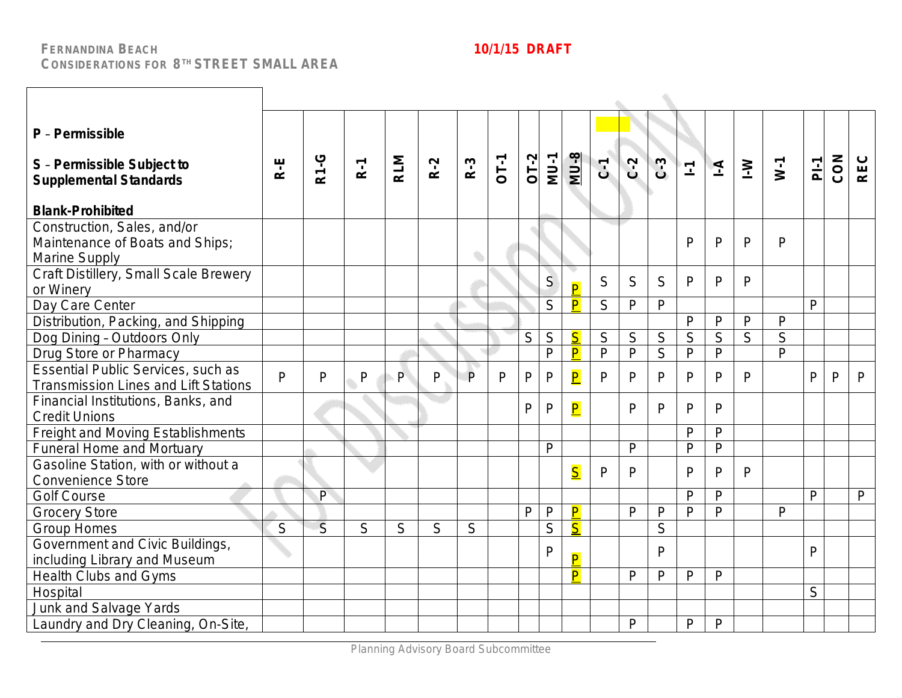| P - Permissible<br>S - Permissible Subject to<br><b>Supplemental Standards</b><br><b>Blank-Prohibited</b> | R-E          | <b>R1-G</b>    | $R-1$ | <b>RLM</b> | $R-2$ | $R-3$ | <b>OT-1</b> | $OI-2$       | <b>MU-1</b>    | <b>MU-8</b>             | $C$ <sup><math>1</math></sup> | $C-2$          | $C-3$          | $\overline{\mathbb{L}}$ | $\Delta$       | $\geq$         | $W-1$          | $P_{-1}$     | CON          | <b>REC</b>   |
|-----------------------------------------------------------------------------------------------------------|--------------|----------------|-------|------------|-------|-------|-------------|--------------|----------------|-------------------------|-------------------------------|----------------|----------------|-------------------------|----------------|----------------|----------------|--------------|--------------|--------------|
| Construction, Sales, and/or<br>Maintenance of Boats and Ships;<br>Marine Supply                           |              |                |       |            |       | ۰     |             |              |                |                         |                               |                |                | P                       | $\mathsf{P}$   | $\mathsf{P}$   | $\mathsf{P}$   |              |              |              |
| Craft Distillery, Small Scale Brewery<br>or Winery                                                        |              |                |       |            |       |       |             |              | S              | $\overline{P}$          | S                             | S              | S              | P                       | P              | P              |                |              |              |              |
| Day Care Center                                                                                           |              |                |       |            |       |       |             |              | S              | $\overline{\mathsf{P}}$ | $\mathsf S$                   | P              | P              |                         |                |                |                | $\mathsf{P}$ |              |              |
| Distribution, Packing, and Shipping                                                                       |              |                |       |            |       |       |             |              |                |                         |                               |                |                | $\mathsf{P}$            | P              | $\mathsf{P}$   | $\mathsf{P}$   |              |              |              |
| Dog Dining - Outdoors Only                                                                                |              |                |       |            |       |       |             | S            | $\overline{S}$ | $\overline{\mathsf{S}}$ | S                             | $\overline{S}$ | $\mathsf S$    | $\overline{S}$          | $\overline{S}$ | $\overline{S}$ | $\overline{S}$ |              |              |              |
| Drug Store or Pharmacy                                                                                    |              |                |       |            |       |       |             |              | P              | $\overline{\mathsf{P}}$ | $\overline{P}$                | $\overline{P}$ | $\overline{S}$ | $\overline{P}$          | P              |                | $\overline{P}$ |              |              |              |
| <b>Essential Public Services, such as</b><br><b>Transmission Lines and Lift Stations</b>                  | $\mathsf{P}$ | P              | P     | P          | P     | P     | P           | $\mathsf{P}$ | $\mathsf{P}$   | $\overline{\mathbf{P}}$ | P                             | P              | P              | P                       | P              | P              |                | P            | $\mathsf{P}$ | P            |
| Financial Institutions, Banks, and<br><b>Credit Unions</b>                                                |              |                |       |            |       |       |             | P            | $\mathsf{P}$   | $\overline{\mathsf{P}}$ |                               | $\mathsf{P}$   | P              | P                       | P              |                |                |              |              |              |
| Freight and Moving Establishments                                                                         |              |                |       |            |       |       |             |              |                |                         |                               |                |                | $\mathsf{P}$            | P              |                |                |              |              |              |
| <b>Funeral Home and Mortuary</b>                                                                          |              |                |       |            |       |       |             |              | P              |                         |                               | P              |                | $\mathsf{P}$            | $\mathsf{P}$   |                |                |              |              |              |
| Gasoline Station, with or without a<br><b>Convenience Store</b>                                           |              |                |       |            |       |       |             |              |                | $\overline{\mathsf{S}}$ | P                             | P              |                | $\mathsf{P}$            | P              | P              |                |              |              |              |
| <b>Golf Course</b>                                                                                        |              | P              |       |            |       |       |             |              |                |                         |                               |                |                | $\mathsf{P}$            | P              |                |                | $\mathsf{P}$ |              | $\mathsf{P}$ |
| <b>Grocery Store</b>                                                                                      |              |                |       |            |       |       |             | P            | $\mathsf{P}$   | $\overline{\mathsf{P}}$ |                               | $\mathsf{P}$   | $\mathsf{P}$   | $\mathsf{p}$            | $\mathsf{P}$   |                | $\mathsf{P}$   |              |              |              |
| <b>Group Homes</b>                                                                                        | S            | $\overline{S}$ | S     | S          | S     | S     |             |              | S              | $\overline{\mathsf{S}}$ |                               |                | S              |                         |                |                |                |              |              |              |
| Government and Civic Buildings,<br>including Library and Museum                                           |              |                |       |            |       |       |             |              | P              | $\overline{\mathsf{P}}$ |                               |                | P              |                         |                |                |                | $\mathsf{P}$ |              |              |
| <b>Health Clubs and Gyms</b>                                                                              |              |                |       |            |       |       |             |              |                | P                       |                               | P              | P              | $\mathsf{P}$            | $\mathsf{P}$   |                |                |              |              |              |
| Hospital                                                                                                  |              |                |       |            |       |       |             |              |                |                         |                               |                |                |                         |                |                |                | S            |              |              |
| Junk and Salvage Yards                                                                                    |              |                |       |            |       |       |             |              |                |                         |                               |                |                |                         |                |                |                |              |              |              |
| Laundry and Dry Cleaning, On-Site,                                                                        |              |                |       |            |       |       |             |              |                |                         |                               | P              |                | P                       | P              |                |                |              |              |              |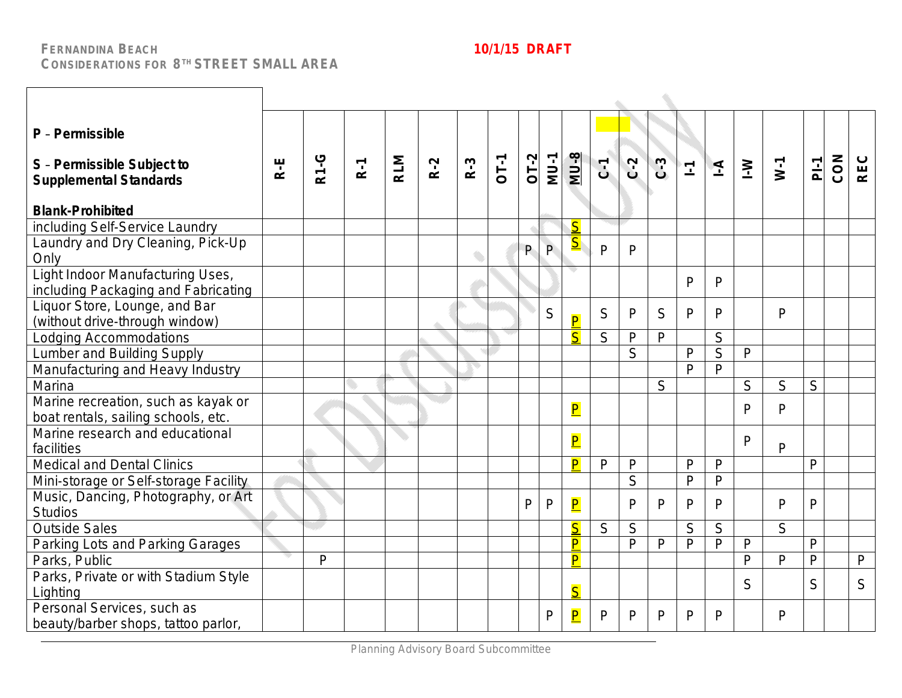┑

 $\Gamma$ 

| P - Permissible<br>S - Permissible Subject to                              |       |             |       |            |       |       |        |        |              |                         |                |              |       |              |                |              |              |                |     |                |
|----------------------------------------------------------------------------|-------|-------------|-------|------------|-------|-------|--------|--------|--------------|-------------------------|----------------|--------------|-------|--------------|----------------|--------------|--------------|----------------|-----|----------------|
| <b>Supplemental Standards</b>                                              | $R-E$ | <b>R1-G</b> | $R-1$ | <b>RLM</b> | $R-2$ | $R-3$ | $OT-1$ | $OT-2$ | <b>MU-1</b>  | $MU-8$                  | $\overline{C}$ | $C-2$        | $C-3$ | $\mathbf{L}$ | $\overline{4}$ | $\geq$       | $W-1$        | $\overline{a}$ | CON | <b>REC</b>     |
| <b>Blank-Prohibited</b>                                                    |       |             |       |            |       |       |        |        |              |                         |                |              |       |              |                |              |              |                |     |                |
| including Self-Service Laundry                                             |       |             |       |            |       |       |        |        |              | S                       |                |              |       |              |                |              |              |                |     |                |
| Laundry and Dry Cleaning, Pick-Up<br>Only                                  |       |             |       |            |       |       |        | P      | P            | $\overline{\mathbf{S}}$ | $\mathsf{P}$   | P            |       |              |                |              |              |                |     |                |
| Light Indoor Manufacturing Uses,<br>including Packaging and Fabricating    |       |             |       |            |       |       |        |        |              |                         |                |              |       | P            | P              |              |              |                |     |                |
| Liquor Store, Lounge, and Bar<br>(without drive-through window)            |       |             |       |            |       |       |        |        | S            | $\overline{\mathsf{P}}$ | S              | $\mathsf{P}$ | S     | P            | P              |              | $\mathsf{P}$ |                |     |                |
| Lodging Accommodations                                                     |       |             |       |            |       |       |        |        |              | $\overline{\mathsf{S}}$ | S              | P            | P     |              | S              |              |              |                |     |                |
| <b>Lumber and Building Supply</b>                                          |       |             |       |            |       |       |        |        |              |                         |                | S            |       | $\mathsf{P}$ | S              | $\mathsf{P}$ |              |                |     |                |
| Manufacturing and Heavy Industry                                           |       |             |       |            |       |       |        |        |              |                         |                |              |       | $\mathsf{P}$ | $\mathsf{P}$   |              |              |                |     |                |
| Marina                                                                     |       |             |       |            |       |       |        |        |              |                         |                |              | S     |              |                | S            | S            | S              |     |                |
| Marine recreation, such as kayak or<br>boat rentals, sailing schools, etc. |       |             |       |            |       |       |        |        |              | $\overline{\mathsf{P}}$ |                |              |       |              |                | $\mathsf{P}$ | P            |                |     |                |
| Marine research and educational<br>facilities                              |       |             |       |            |       |       |        |        |              | $\overline{\mathsf{P}}$ |                |              |       |              |                | P            | $\mathsf{P}$ |                |     |                |
| Medical and Dental Clinics                                                 |       |             |       |            |       |       |        |        |              | $\overline{\mathsf{P}}$ | P              | $\mathsf{P}$ |       | P            | P              |              |              | P              |     |                |
| Mini-storage or Self-storage Facility                                      |       |             |       |            |       |       |        |        |              |                         |                | S            |       | $\mathsf{P}$ | P              |              |              |                |     |                |
| Music, Dancing, Photography, or Art<br><b>Studios</b>                      |       |             |       |            |       |       |        | P      | $\mathsf{P}$ | $\overline{\mathsf{P}}$ |                | P            | P     | P            | P              |              | $\mathsf{P}$ | $\mathsf{P}$   |     |                |
| <b>Outside Sales</b>                                                       |       |             |       |            |       |       |        |        |              | $\overline{\mathsf{S}}$ | S              | S            |       | S            | S              |              | S            |                |     |                |
| Parking Lots and Parking Garages                                           |       |             |       |            |       |       |        |        |              | P                       |                | P            | P     | P            | P              | $\mathsf{P}$ |              | $\mathsf{P}$   |     |                |
| Parks, Public                                                              |       | P           |       |            |       |       |        |        |              | $\overline{P}$          |                |              |       |              |                | $\mathsf{P}$ | $\mathsf{P}$ | $\overline{P}$ |     | $\overline{P}$ |
| Parks, Private or with Stadium Style<br>Lighting                           |       |             |       |            |       |       |        |        |              | $\overline{\mathsf{S}}$ |                |              |       |              |                | S            |              | S              |     | S              |
| Personal Services, such as<br>beauty/barber shops, tattoo parlor,          |       |             |       |            |       |       |        |        | P            | $\overline{\mathsf{P}}$ | P              | P            | P     | P            | P              |              | P            |                |     |                |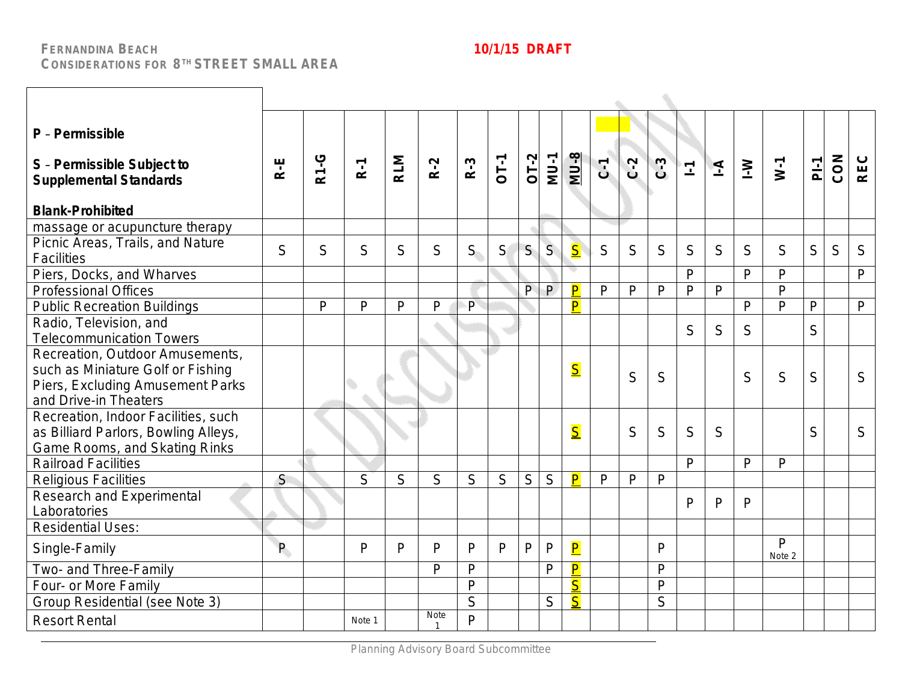| P - Permissible<br>S - Permissible Subject to<br><b>Supplemental Standards</b><br><b>Blank-Prohibited</b>                         | R-E | <b>R1-G</b> | $R-1$        | <b>RLM</b> | $R-2$       | $R-3$        | $OT-1$       | $OT-2$         | <b>MU-1</b>  | <b>MU-8</b>             | $C$ <sup><math>1</math></sup> | $C-2$        | $C-3$        | $\overline{\mathbb{L}}$ | $\overline{4}$ | $\geq$       | $W-1$                  | $\overline{P}$ | CON | <b>REC</b>   |
|-----------------------------------------------------------------------------------------------------------------------------------|-----|-------------|--------------|------------|-------------|--------------|--------------|----------------|--------------|-------------------------|-------------------------------|--------------|--------------|-------------------------|----------------|--------------|------------------------|----------------|-----|--------------|
| massage or acupuncture therapy                                                                                                    |     |             |              |            |             |              |              |                |              |                         |                               |              |              |                         |                |              |                        |                |     |              |
| Picnic Areas, Trails, and Nature<br><b>Facilities</b>                                                                             | S   | S           | S            | S          | S           | $S_{\cdot}$  | S            | S              | S            | $\overline{\mathsf{S}}$ | S                             | S            | S            | S                       | S              | S            | S                      | S              | S   | S            |
| Piers, Docks, and Wharves                                                                                                         |     |             |              |            |             |              |              |                |              |                         |                               |              |              | $\mathsf{P}$            |                | $\mathsf{P}$ | $\mathsf{P}$           |                |     | P            |
| <b>Professional Offices</b>                                                                                                       |     |             |              |            |             |              |              | $\overline{P}$ | $\mathsf{P}$ | P                       | $\mathsf{P}$                  | P            | $\mathsf{P}$ | $\mathsf{P}$            | $\overline{P}$ |              | $\mathsf{P}$           |                |     |              |
| <b>Public Recreation Buildings</b>                                                                                                |     | P           | $\mathsf{P}$ | P          | P           | $\mathsf{P}$ |              |                |              | P                       |                               |              |              |                         |                | $\mathsf{P}$ | $\mathsf{P}$           | $\mathsf{P}$   |     | $\mathsf{P}$ |
| Radio, Television, and<br><b>Telecommunication Towers</b>                                                                         |     |             |              |            |             |              |              |                |              |                         |                               |              |              | S                       | S              | S            |                        | S              |     |              |
| Recreation, Outdoor Amusements,<br>such as Miniature Golf or Fishing<br>Piers, Excluding Amusement Parks<br>and Drive-in Theaters |     |             | O            |            |             |              |              |                |              | $\overline{\mathsf{S}}$ |                               | S            | S.           |                         |                | S            | S                      | S              |     | S            |
| Recreation, Indoor Facilities, such<br>as Billiard Parlors, Bowling Alleys,<br>Game Rooms, and Skating Rinks                      |     |             |              |            |             |              |              |                |              | $\overline{\mathsf{S}}$ |                               | S            | S            | S                       | S              |              |                        | S              |     | S            |
| <b>Railroad Facilities</b>                                                                                                        |     |             |              |            |             |              |              |                |              |                         |                               |              |              | $\mathsf{P}$            |                | $\mathsf{P}$ | $\mathsf{P}$           |                |     |              |
| <b>Religious Facilities</b>                                                                                                       | S   |             | S            | S          | S           | S            | S            | S              | S            | $\overline{\mathsf{P}}$ | $\mathsf{P}$                  | $\mathsf{P}$ | $\mathsf{P}$ |                         |                |              |                        |                |     |              |
| <b>Research and Experimental</b><br>Laboratories                                                                                  |     |             |              |            |             |              |              |                |              |                         |                               |              |              | P                       | P              | P            |                        |                |     |              |
| <b>Residential Uses:</b>                                                                                                          |     |             |              |            |             |              |              |                |              |                         |                               |              |              |                         |                |              |                        |                |     |              |
| Single-Family                                                                                                                     | P.  |             | P            | P          | P           | P            | $\mathsf{P}$ | $\mathsf{P}$   | P            | $\overline{\mathsf{P}}$ |                               |              | P            |                         |                |              | $\mathsf{P}$<br>Note 2 |                |     |              |
| Two- and Three-Family                                                                                                             |     |             |              |            | P           | P            |              |                | P            | $\overline{\mathsf{P}}$ |                               |              | $\mathsf{P}$ |                         |                |              |                        |                |     |              |
| Four- or More Family                                                                                                              |     |             |              |            |             | P            |              |                |              | $\overline{\mathsf{S}}$ |                               |              | $\mathsf{P}$ |                         |                |              |                        |                |     |              |
| Group Residential (see Note 3)                                                                                                    |     |             |              |            |             | S            |              |                | S            | $\overline{\mathsf{S}}$ |                               |              | S            |                         |                |              |                        |                |     |              |
| <b>Resort Rental</b>                                                                                                              |     |             | Note 1       |            | <b>Note</b> | $\mathsf{p}$ |              |                |              |                         |                               |              |              |                         |                |              |                        |                |     |              |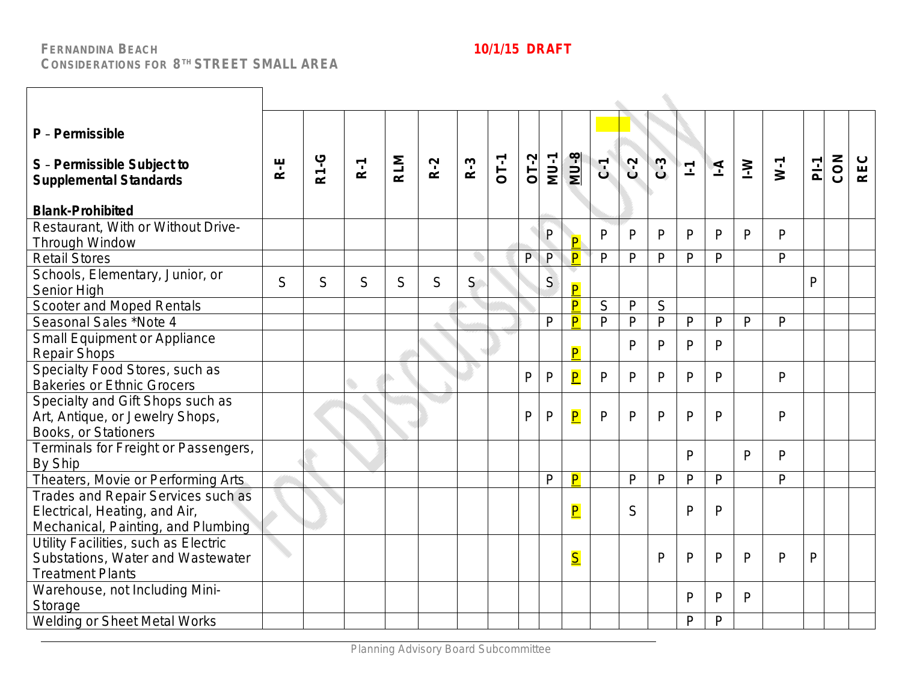| P - Permissible<br>S - Permissible Subject to<br><b>Supplemental Standards</b><br><b>Blank-Prohibited</b> | R-E | <b>R1-G</b> | $R-1$ | <b>RLM</b> | $R-2$ | $R-3$ | <b>OT-1</b> | $OT-2$ | <b>MU-1</b>  | <b>MU-8</b>             | $C - 1$      | $C-2$        | $C-3$        | $\mathbf{I}^{\parallel}$ | $\overline{4}$ | $\geq$       | $N-1$          | $\overline{P}$ | CON | <b>REC</b> |
|-----------------------------------------------------------------------------------------------------------|-----|-------------|-------|------------|-------|-------|-------------|--------|--------------|-------------------------|--------------|--------------|--------------|--------------------------|----------------|--------------|----------------|----------------|-----|------------|
| Restaurant, With or Without Drive-                                                                        |     |             |       |            |       |       |             |        | ${\sf P}$    | P                       | $\mathsf{P}$ | P            | $\mathsf{P}$ | $\mathsf{P}$             | P              | P            | $\overline{P}$ |                |     |            |
| Through Window<br><b>Retail Stores</b>                                                                    |     |             |       |            |       |       |             | P      | P            | $\boxed{\mathsf{P}}$    | $\mathsf{P}$ | $\mathsf{P}$ | $\mathsf{P}$ | $\mathsf{P}$             | $\mathsf{P}$   |              | $\mathsf{P}$   |                |     |            |
| Schools, Elementary, Junior, or<br>Senior High                                                            | S   | S           | S     | S          | S     | S     |             |        | S            | $\overline{\mathsf{P}}$ |              |              |              |                          |                |              |                | P              |     |            |
| Scooter and Moped Rentals                                                                                 |     |             |       |            |       |       |             |        |              | P                       | $\mathsf S$  | $\mathsf{P}$ | $\mathsf S$  |                          |                |              |                |                |     |            |
| Seasonal Sales *Note 4                                                                                    |     |             |       |            |       |       |             |        | $\mathsf{P}$ | $\overline{\mathsf{P}}$ | $\mathsf{P}$ | $\mathsf{P}$ | $\mathsf{P}$ | $\mathsf{P}$             | $\mathsf{P}$   | $\mathsf{P}$ | P              |                |     |            |
| Small Equipment or Appliance<br><b>Repair Shops</b>                                                       |     |             |       |            |       |       |             |        |              | $\overline{\mathsf{P}}$ |              | P            | P            | $\mathsf{P}$             | P              |              |                |                |     |            |
| Specialty Food Stores, such as<br><b>Bakeries or Ethnic Grocers</b>                                       |     |             |       |            |       |       |             | P      | $\mathsf{P}$ | $\overline{\mathsf{P}}$ | $\mathsf{P}$ | P            | $\mathsf{P}$ | P                        | P              |              | P              |                |     |            |
| Specialty and Gift Shops such as<br>Art, Antique, or Jewelry Shops,<br>Books, or Stationers               |     |             |       |            |       |       |             | P      | $\mathsf{P}$ | $\overline{\mathsf{P}}$ | P            | P            | P            | $\mathsf{P}$             | P              |              | P              |                |     |            |
| Terminals for Freight or Passengers,<br>By Ship                                                           |     |             |       |            |       |       |             |        |              |                         |              |              |              | P                        |                | P            | $\mathsf{P}$   |                |     |            |
| Theaters, Movie or Performing Arts                                                                        |     |             |       |            |       |       |             |        | $\mathsf{P}$ | P                       |              | $\mathsf{P}$ | $\mathsf{P}$ | $\mathsf{P}$             | $\mathsf{P}$   |              | $\mathsf{P}$   |                |     |            |
| Trades and Repair Services such as<br>Electrical, Heating, and Air,<br>Mechanical, Painting, and Plumbing |     |             |       |            |       |       |             |        |              | $\overline{\mathsf{P}}$ |              | S            |              | $\mathsf{P}$             | P              |              |                |                |     |            |
| Utility Facilities, such as Electric<br>Substations, Water and Wastewater<br><b>Treatment Plants</b>      |     |             |       |            |       |       |             |        |              | $\overline{\mathsf{S}}$ |              |              | $\mathsf{P}$ | P                        | P              | P            | $\mathsf{P}$   | $\mathsf{P}$   |     |            |
| Warehouse, not Including Mini-<br>Storage                                                                 |     |             |       |            |       |       |             |        |              |                         |              |              |              | P                        | P              | P            |                |                |     |            |
| Welding or Sheet Metal Works                                                                              |     |             |       |            |       |       |             |        |              |                         |              |              |              | P                        | P              |              |                |                |     |            |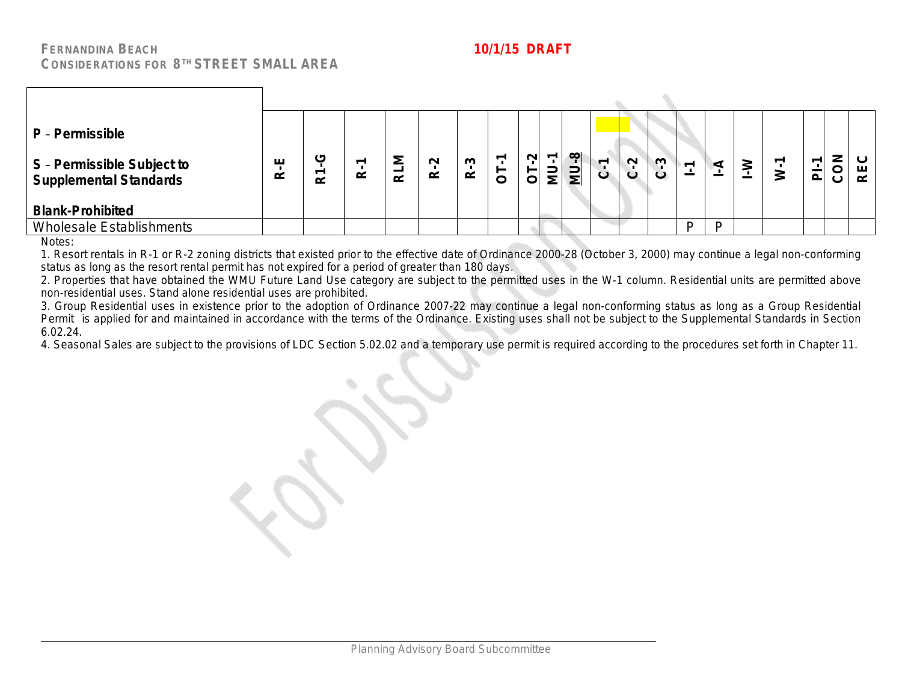| P - Permissible                                             |        |         |   |               |                    |        |   |             |         |             |         |        |        |                                            |   |   |                         |        |               |
|-------------------------------------------------------------|--------|---------|---|---------------|--------------------|--------|---|-------------|---------|-------------|---------|--------|--------|--------------------------------------------|---|---|-------------------------|--------|---------------|
| S - Permissible Subject to<br><b>Supplemental Standards</b> | ய<br>≃ | ιŋ<br>≃ | ≃ | ÷<br>$\alpha$ | $\sim$<br>$\alpha$ | ო<br>≃ | C | $\sim$<br>5 | ٣<br>mn | <b>MU-8</b> | $\circ$ | $\sim$ | $\sim$ | $\overline{ }$<br>$\overline{\phantom{a}}$ |   | ℥ | ᠇<br>$\bar{\mathbf{a}}$ | Z<br>⌒ | ш<br>$\alpha$ |
| <b>Blank-Prohibited</b>                                     |        |         |   |               |                    |        |   |             |         |             |         |        |        |                                            |   |   |                         |        |               |
| <b>Wholesale Establishments</b>                             |        |         |   |               |                    |        |   |             |         |             |         |        |        | D                                          | D |   |                         |        |               |

Notes:

1. Resort rentals in R-1 or R-2 zoning districts that existed prior to the effective date of Ordinance 2000-28 (October 3, 2000) may continue a legal non-conforming status as long as the resort rental permit has not expired for a period of greater than 180 days.

2. Properties that have obtained the WMU Future Land Use category are subject to the permitted uses in the W-1 column. Residential units are permitted above non-residential uses. Stand alone residential uses are prohibited.

3. Group Residential uses in existence prior to the adoption of Ordinance 2007-22 may continue a legal non-conforming status as long as a Group Residential Permit is applied for and maintained in accordance with the terms of the Ordinance. Existing uses shall not be subject to the Supplemental Standards in Section 6.02.24.

4. Seasonal Sales are subject to the provisions of LDC Section 5.02.02 and a temporary use permit is required according to the procedures set forth in Chapter 11.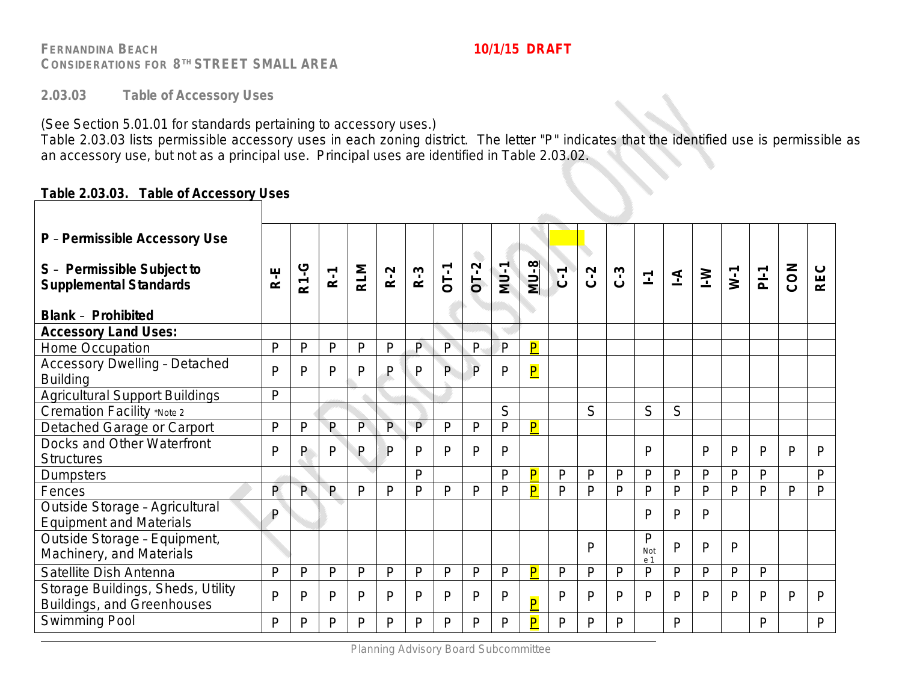**2.03.03 Table of Accessory Uses**

(See Section 5.01.01 for standards pertaining to accessory uses.)

Table 2.03.03 lists permissible accessory uses in each zoning district. The letter "P" indicates that the identified use is permissible as an accessory use, but not as a principal use. Principal uses are identified in Table 2.03.02.

### **Table 2.03.03. Table of Accessory Uses**

| P - Permissible Accessory Use                                    |              |              |              |              |                |              |              |                |              |                         |                |              |              |                 |                |              |              |                |     |              |
|------------------------------------------------------------------|--------------|--------------|--------------|--------------|----------------|--------------|--------------|----------------|--------------|-------------------------|----------------|--------------|--------------|-----------------|----------------|--------------|--------------|----------------|-----|--------------|
| S - Permissible Subject to<br><b>Supplemental Standards</b>      | R-E          | <b>R1-G</b>  | $R-1$        | <b>RLM</b>   | $R-2$          | $R-3$        | <b>OT-1</b>  | O<br>$OT-2$    | $MU-1$       | $MU-8$                  | $\overline{c}$ | $C-2$        | $C-3$        | $\overline{L}$  | $\overline{A}$ | $\geq$       | $W-1$        | P <sub>i</sub> | CON | <b>REC</b>   |
| <b>Blank - Prohibited</b>                                        |              |              |              |              |                |              |              |                |              |                         |                |              |              |                 |                |              |              |                |     |              |
| <b>Accessory Land Uses:</b>                                      |              |              |              |              |                |              |              |                |              |                         |                |              |              |                 |                |              |              |                |     |              |
| Home Occupation                                                  | P            | P            | P            | P            | P              | $\mathsf{P}$ | P            | $\mathsf{P}$   | P            | $\overline{\mathsf{P}}$ |                |              |              |                 |                |              |              |                |     |              |
| <b>Accessory Dwelling - Detached</b><br><b>Building</b>          | $\mathsf{P}$ | P            | P            | P            | $\mathsf{P}$   | P            | P            | $\overline{P}$ | P            | $\overline{\mathsf{P}}$ |                |              |              |                 |                |              |              |                |     |              |
| <b>Agricultural Support Buildings</b>                            | P            |              |              |              |                |              |              |                |              |                         |                |              |              |                 |                |              |              |                |     |              |
| Cremation Facility *Note 2                                       |              |              |              |              |                |              |              |                | S            |                         |                | S            |              | S               | S              |              |              |                |     |              |
| Detached Garage or Carport                                       | $\mathsf{P}$ | $\mathsf{P}$ | $\mathsf{P}$ | $\mathsf{P}$ | $\overline{P}$ | $\mathsf{P}$ | $\mathsf{P}$ | P              | P            | $\overline{\mathsf{P}}$ |                |              |              |                 |                |              |              |                |     |              |
| Docks and Other Waterfront<br><b>Structures</b>                  | P            | P            | P            | P            | P              | P            | P            | P              | P            |                         |                |              |              | P               |                | P            | $\mathsf{P}$ | P              | P   | $\mathsf{P}$ |
| <b>Dumpsters</b>                                                 |              |              |              |              |                | D            |              |                | P            | $\overline{\mathsf{P}}$ | P              | P            | $\mathsf{P}$ | P               | P              | $\mathsf{P}$ | $\mathsf{P}$ | P              |     | $\mathsf{P}$ |
| Fences                                                           | P            | P            | $\mathsf{P}$ | $\mathsf{P}$ | $\mathsf{P}$   | P            | P            | P              | P            | $\overline{\mathsf{P}}$ | $\mathsf{P}$   | P            | P            | P               | P              | P            | P            | P              | P   | P            |
| Outside Storage - Agricultural<br><b>Equipment and Materials</b> | $\mathsf{P}$ |              |              |              |                |              |              |                |              |                         |                |              |              | P               | P              | P            |              |                |     |              |
| Outside Storage - Equipment,<br>Machinery, and Materials         |              |              |              |              |                |              |              |                |              |                         |                | P            |              | P<br>Not<br>e 1 | P              | P            | P            |                |     |              |
| Satellite Dish Antenna                                           | $\mathsf{P}$ | $\mathsf{P}$ | $\mathsf{P}$ | P            | $\mathsf{P}$   | P            | $\mathsf{P}$ | P              | P            | $\overline{\mathsf{P}}$ | P              | $\mathsf{P}$ | P            | P               | $\mathsf{P}$   | P            | $\mathsf{P}$ | P              |     |              |
| Storage Buildings, Sheds, Utility<br>Buildings, and Greenhouses  | $\mathsf{P}$ | P            | P            | $\mathsf{P}$ | $\mathsf{P}$   | P            | P            | P              | $\mathsf{P}$ | $\overline{\mathsf{P}}$ | P              | P            | P            | P               | P              | P            | P            | P              | P   | P            |
| Swimming Pool                                                    | P            | P            | D            | P            | P              | P.           | P            | P              | P            | P                       | P              | P            | P            |                 | P              |              |              | P              |     | $\mathsf{P}$ |
|                                                                  |              |              |              |              |                |              |              |                |              |                         |                |              |              |                 |                |              |              |                |     |              |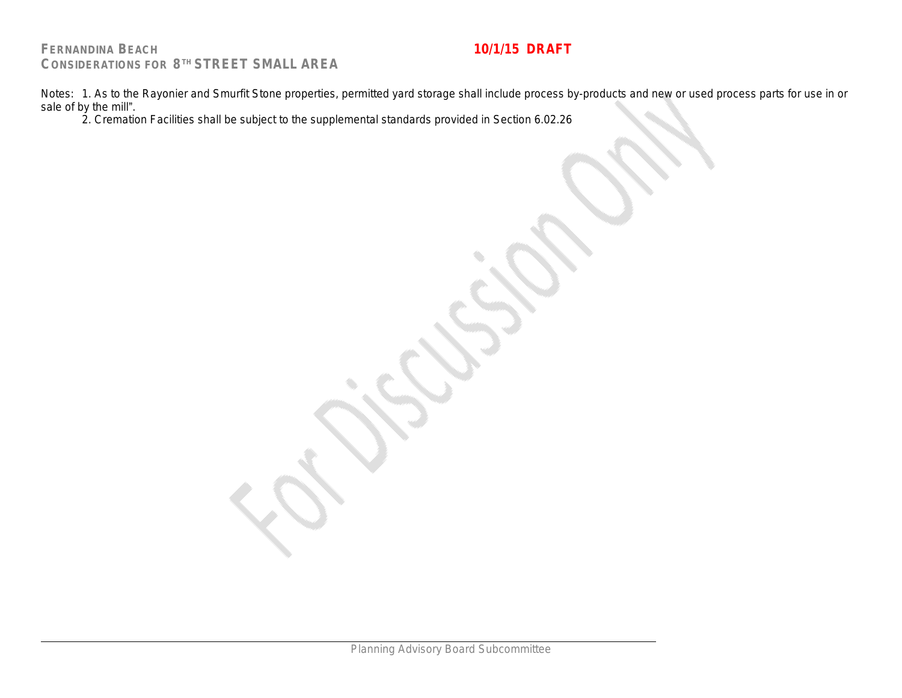Notes: 1. As to the Rayonier and Smurfit Stone properties, permitted yard storage shall include process by-products and new or used process parts for use in or sale of by the mill".

2. Cremation Facilities shall be subject to the supplemental standards provided in Section 6.02.26